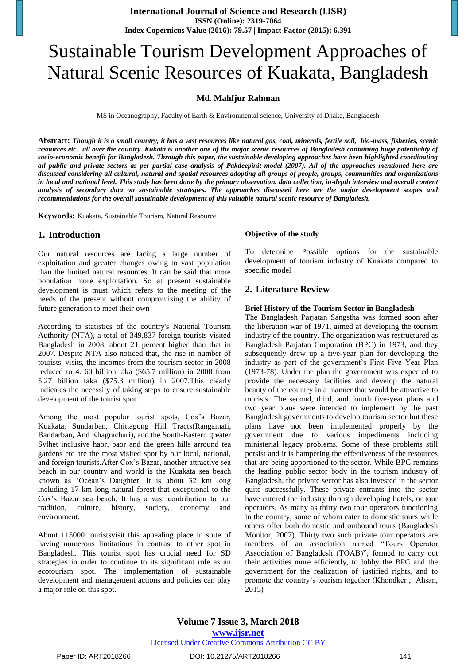# Sustainable Tourism Development Approaches of Natural Scenic Resources of Kuakata, Bangladesh

#### **Md. Mahfjur Rahman**

MS in Oceanography, Faculty of Earth & Environmental science, University of Dhaka, Bangladesh

**Abstract:** *Though it is a small country, it has a vast resources like natural gas, coal, minerals, fertile soil, bio-mass, fisheries, scenic resources etc. all over the country. Kukata is another one of the major scenic resources of Bangladesh containing huge potentiality of socio-economic benefit for Bangladesh. Through this paper, the sustainable developing approaches have been highlighted coordinating all public and private sectors as per partial case analysis of Pakdeepinit model (2007). All of the approaches mentioned here are discussed considering all cultural, natural and spatial resources adopting all groups of people, groups, communities and organizations in local and national level. This study has been done by the primary observation, data collection, in-depth interview and overall content analysis of secondary data on sustainable strategies. The approaches discussed here are the major development scopes and recommendations for the overall sustainable development of this valuable natural scenic resource of Bangladesh.*

**Keywords:** Kuakata, Sustainable Tourism, Natural Resource

# **1. Introduction**

Our natural resources are facing a large number of exploitation and greater changes owing to vast population than the limited natural resources. It can be said that more population more exploitation. So at present sustainable development is must which refers to the meeting of the needs of the present without compromising the ability of future generation to meet their own

According to statistics of the country's National Tourism Authority (NTA), a total of 349,837 foreign tourists visited Bangladesh in 2008, about 21 percent higher than that in 2007. Despite NTA also noticed that, the rise in number of tourists' visits, the incomes from the tourism sector in 2008 reduced to 4. 60 billion taka (\$65.7 million) in 2008 from 5.27 billion taka (\$75.3 million) in 2007.This clearly indicates the necessity of taking steps to ensure sustainable development of the tourist spot.

Among the most popular tourist spots, Cox's Bazar, Kuakata, Sundarban, Chittagong Hill Tracts(Rangamati, Bandarban, And Khagrachari), and the South-Eastern greater Sylhet inclusive haor, baor and the green hills arround tea gardens etc are the most visited spot by our local, national, and foreign tourists.After Cox"s Bazar, another attractive sea beach in our country and world is the Kuakata sea beach known as "Ocean"s Daughter. It is about 32 km long including 17 km long natural forest that exceptional to the Cox"s Bazar sea beach. It has a vast contribution to our tradition, culture, history, society, economy and environment.

About 115000 touristsvisit this appealing place in spite of having numerous limitations in contrast to other spot in Bangladesh. This tourist spot has crucial need for SD strategies in order to continue to its significant role as an ecotourism spot. The implementation of sustainable development and management actions and policies can play a major role on this spot.

#### **Objective of the study**

To determine Possible options for the sustainable development of tourism industry of Kuakata compared to specific model

#### **2. Literature Review**

#### **Brief History of the Tourism Sector in Bangladesh**

The Bangladesh Parjatan Sangstha was formed soon after the liberation war of 1971, aimed at developing the tourism industry of the country. The organization was restructured as Bangladesh Parjatan Corporation (BPC) in 1973, and they subsequently drew up a five-year plan for developing the industry as part of the government's First Five Year Plan (1973-78). Under the plan the government was expected to provide the necessary facilities and develop the natural beauty of the country in a manner that would be attractive to tourists. The second, third, and fourth five-year plans and two year plans were intended to implement by the past Bangladesh governments to develop tourism sector but these plans have not been implemented properly by the government due to various impediments including ministerial legacy problems. Some of these problems still persist and it is hampering the effectiveness of the resources that are being apportioned to the sector. While BPC remains the leading public sector body in the tourism industry of Bangladesh, the private sector has also invested in the sector quite successfully. These private entrants into the sector have entered the industry through developing hotels, or tour operators. As many as thirty two tour operators functioning in the country, some of whom cater to domestic tours while others offer both domestic and outbound tours (Bangladesh Monitor, 2007). Thirty two such private tour operators are members of an association named "Tours Operator Association of Bangladesh (TOAB)", formed to carry out their activities more efficiently, to lobby the BPC and the government for the realization of justified rights, and to promote the country"s tourism together (Khondker , Ahsan, 2015)

**Volume 7 Issue 3, March 2018 <www.ijsr.net>** [Licensed Under Creative Commons Attribution CC BY](http://creativecommons.org/licenses/by/4.0/)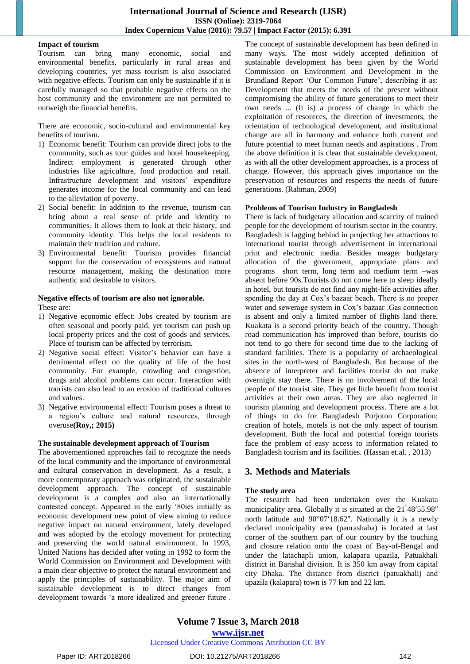#### **Impact of tourism**

Tourism can bring many economic, social and environmental benefits, particularly in rural areas and developing countries, yet mass tourism is also associated with negative effects. Tourism can only be sustainable if it is carefully managed so that probable negative effects on the host community and the environment are not permitted to outweigh the financial benefits.

There are economic, socio-cultural and environmental key benefits of tourism.

- 1) Economic benefit: Tourism can provide direct jobs to the community, such as tour guides and hotel housekeeping. Indirect employment is generated through other industries like agriculture, food production and retail. Infrastructure development and visitors' expenditure generates income for the local community and can lead to the alleviation of poverty.
- 2) Social benefit: In addition to the revenue, tourism can bring about a real sense of pride and identity to communities. It allows them to look at their history, and community identity. This helps the local residents to maintain their tradition and culture.
- 3) Environmental benefit: Tourism provides financial support for the conservation of ecosystems and natural resource management, making the destination more authentic and desirable to visitors.

#### **Negative effects of tourism are also not ignorable.**

These are:

- 1) Negative economic effect: Jobs created by tourism are often seasonal and poorly paid, yet tourism can push up local property prices and the cost of goods and services. Place of tourism can be affected by terrorism.
- 2) Negative social effect: Visitor"s behavior can have a detrimental effect on the quality of life of the host community. For example, crowding and congestion, drugs and alcohol problems can occur. Interaction with tourists can also lead to an erosion of traditional cultures and values.
- 3) Negative environmental effect: Tourism poses a threat to a region"s culture and natural resources, through overuse**(Roy,; 2015)**

#### **The sustainable development approach of Tourism**

The abovementioned approaches fail to recognize the needs of the local community and the importance of environmental and cultural conservation in development. As a result, a more contemporary approach was originated, the sustainable development approach. The concept of sustainable development is a complex and also an internationally contested concept. Appeared in the early "80ies initially as economic development new point of view aiming to reduce negative impact on natural environment, lately developed and was adopted by the ecology movement for protecting and preserving the world natural environment. In 1993, United Nations has decided after voting in 1992 to form the World Commission on Environment and Development with a main clear objective to protect the natural environment and apply the principles of sustainability. The major aim of sustainable development is to direct changes from development towards "a more idealized and greener future .

The concept of sustainable development has been defined in many ways. The most widely accepted definition of sustainable development has been given by the World Commission on Environment and Development in the Brundland Report 'Our Common Future', describing it as: Development that meets the needs of the present without compromising the ability of future generations to meet their own needs ... (It is) a process of change in which the exploitation of resources, the direction of investments, the orientation of technological development, and institutional change are all in harmony and enhance both current and future potential to meet human needs and aspirations . From the above definition it is clear that sustainable development, as with all the other development approaches, is a process of change. However, this approach gives importance on the preservation of resources and respects the needs of future generations. (Rahman, 2009)

#### **Problems of Tourism Industry in Bangladesh**

There is lack of budgetary allocation and scarcity of trained people for the development of tourism sector in the country. Bangladesh is lagging behind in projecting her attractions to international tourist through advertisement in international print and electronic media. Besides meager budgetary allocation of the government, appropriate plans and programs short term, long term and medium term –was absent before 90s.Tourists do not come here to sleep ideally in hotel, but tourists do not find any night-life activities after spending the day at Cox"s bazaar beach. There is no proper water and sewerage system in Cox"s bazaar .Gas connection is absent and only a limited number of flights land there. Kuakata is a second priority beach of the country. Though road communication has improved than before, tourists do not tend to go there for second time due to the lacking of standard facilities. There is a popularity of archaeological sites in the north-west of Bangladesh. But because of the absence of interpreter and facilities tourist do not make overnight stay there. There is no involvement of the local people of the tourist site. They get little benefit from tourist activities at their own areas. They are also neglected in tourism planning and development process. There are a lot of things to do for Bangladesh Porjoton Corporation; creation of hotels, motels is not the only aspect of tourism development. Both the local and potential foreign tourists face the problem of easy access to information related to Bangladesh tourism and its facilities. (Hassan et.al. , 2013)

# **3. Methods and Materials**

# **The study area**

The research had been undertaken over the Kuakata municipality area. Globally it is situated at the 21<sup>°</sup>48′55.98″ north latitude and  $90^{\circ}07'18.62''$ . Nationally it is a newly declared municipality area (paurashaba) is located at last corner of the southern part of our country by the touching and closure relation onto the coast of Bay-of-Bengal and under the latachapli union, kalapara upazila, Patuakhali district in Barishal division. It is 350 km away from capital city Dhaka. The distance from district (patuakhali) and upazila (kalapara) town is 77 km and 22 km.

**Volume 7 Issue 3, March 2018 <www.ijsr.net>** [Licensed Under Creative Commons Attribution CC BY](http://creativecommons.org/licenses/by/4.0/)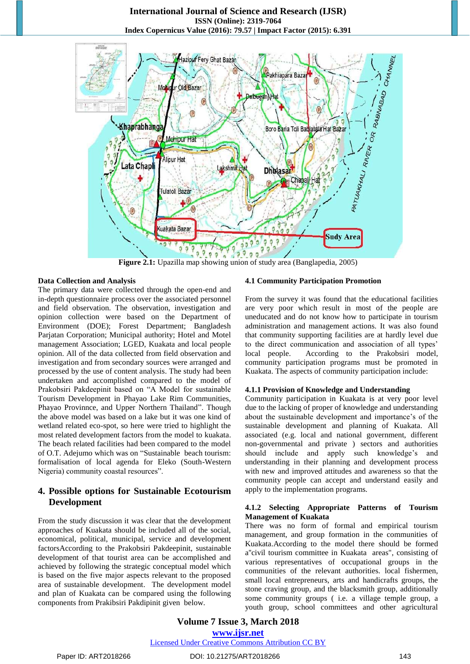

**Figure 2.1:** Upazilla map showing union of study area (Banglapedia, 2005)

#### **Data Collection and Analysis**

The primary data were collected through the open-end and in-depth questionnaire process over the associated personnel and field observation. The observation, investigation and opinion collection were based on the Department of Environment (DOE); Forest Department; Bangladesh Parjatan Corporation; Municipal authority; Hotel and Motel management Association; LGED, Kuakata and local people opinion. All of the data collected from field observation and investigation and from secondary sources were arranged and processed by the use of content analysis. The study had been undertaken and accomplished compared to the model of Prakobsiri Pakdeepinit based on "A Model for sustainable Tourism Development in Phayao Lake Rim Communities, Phayao Provinnce, and Upper Northern Thailand". Though the above model was based on a lake but it was one kind of wetland related eco-spot, so here were tried to highlight the most related development factors from the model to kuakata. The beach related facilities had been compared to the model of O.T. Adejumo which was on "Sustainable beach tourism: formalisation of local agenda for Eleko (South-Western Nigeria) community coastal resources".

# **4. Possible options for Sustainable Ecotourism Development**

From the study discussion it was clear that the development approaches of Kuakata should be included all of the social, economical, political, municipal, service and development factorsAccording to the Prakobsiri Pakdeepinit, sustainable development of that tourist area can be accomplished and achieved by following the strategic conceptual model which is based on the five major aspects relevant to the proposed area of sustainable development. The development model and plan of Kuakata can be compared using the following components from Prakibsiri Pakdipinit given below.

# **4.1 Community Participation Promotion**

From the survey it was found that the educational facilities are very poor which result in most of the people are uneducated and do not know how to participate in tourism administration and management actions. It was also found that community supporting facilities are at hardly level due to the direct communication and association of all types" local people. According to the Prakobsiri model, community participation programs must be promoted in Kuakata. The aspects of community participation include:

#### **4.1.1 Provision of Knowledge and Understanding**

Community participation in Kuakata is at very poor level due to the lacking of proper of knowledge and understanding about the sustainable development and importance's of the sustainable development and planning of Kuakata. All associated (e.g. local and national government, different non-governmental and private ) sectors and authorities should include and apply such knowledge's and understanding in their planning and development process with new and improved attitudes and awareness so that the community people can accept and understand easily and apply to the implementation programs.

#### **4.1.2 Selecting Appropriate Patterns of Tourism Management of Kuakata**

There was no form of formal and empirical tourism management, and group formation in the communities of Kuakata.According to the model there should be formed a''civil tourism committee in Kuakata areas", consisting of various representatives of occupational groups in the communities of the relevant authorities. local fishermen, small local entrepreneurs, arts and handicrafts groups, the stone craving group, and the blacksmith group, additionally some community groups ( i.e. a village temple group, a youth group, school committees and other agricultural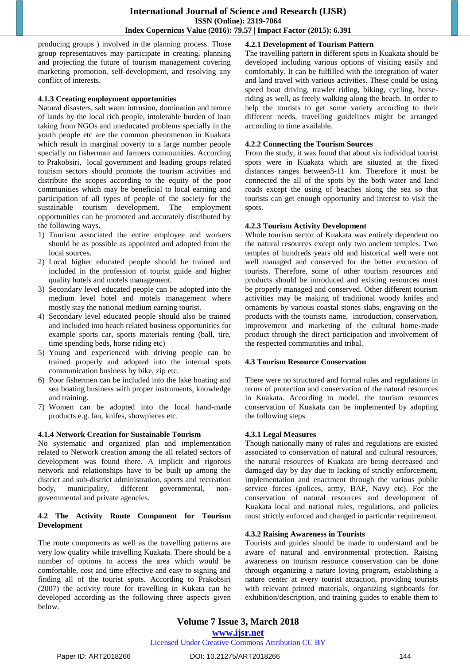producing groups ) involved in the planning process. Those group representatives may participate in creating, planning and projecting the future of tourism management covering marketing promotion, self-development, and resolving any conflict of interests.

#### **4.1.3 Creating employment opportunities**

Natural disasters, salt water intrusion, domination and tenure of lands by the local rich people, intolerable burden of loan taking from NGOs and uneducated problems specially in the youth people etc are the common phenomenon in Kuakata which result in marginal poverty to a large number people specially on fisherman and farmers communities. According to Prakobsiri, local government and leading groups related tourism sectors should promote the tourism activities and distribute the scopes according to the equity of the poor communities which may be beneficial to local earning and participation of all types of people of the society for the sustainable tourism development. The employment opportunities can be promoted and accurately distributed by the following ways.

- 1) Tourism associated the entire employee and workers should be as possible as appointed and adopted from the local sources.
- 2) Local higher educated people should be trained and included in the profession of tourist guide and higher quality hotels and motels management.
- 3) Secondary level educated people can be adopted into the medium level hotel and motels management where mostly stay the national medium earning tourist.
- 4) Secondary level educated people should also be trained and included into beach related business opportunities for example sports car, sports materials renting (ball, tire, time spending beds, horse riding etc)
- 5) Young and experienced with driving people can be trained properly and adopted into the internal spots communication business by bike, zip etc.
- 6) Poor fishermen can be included into the lake boating and sea boating business with proper instruments, knowledge and training.
- 7) Women can be adopted into the local hand-made products e.g. fan, knifes, showpieces etc.

#### **4.1.4 Network Creation for Sustainable Tourism**

No systematic and organized plan and implementation related to Network creation among the all related sectors of development was found there. A implicit and rigorous network and relationships have to be built up among the district and sub-district administration, sports and recreation body, municipality, different governmental, nongovernmental and private agencies.

#### **4.2 The Activity Route Component for Tourism Development**

The route components as well as the travelling patterns are very low quality while travelling Kuakata. There should be a number of options to access the area which would be comfortable, cost and time effective and easy to signing and finding all of the tourist spots. According to Prakobsiri (2007) the activity route for travelling in Kukata can be developed according as the following three aspects given below.

# **4.2.1 Development of Tourism Pattern**

The travelling pattern in different spots in Kuakata should be developed including various options of visiting easily and comfortably. It can be fulfilled with the integration of water and land travel with various activities. These could be using speed boat driving, trawler riding, biking, cycling, horseriding as well, as freely walking along the beach. In order to help the tourists to get some variety according to their different needs, travelling guidelines might be arranged according to time available.

#### **4.2.2 Connecting the Tourism Sources**

From the study, it was found that about six individual tourist spots were in Kuakata which are situated at the fixed distances ranges between3-11 km. Therefore it must be connected the all of the spots by the both water and land roads except the using of beaches along the sea so that tourists can get enough opportunity and interest to visit the spots.

#### **4.2.3 Tourism Activity Development**

Whole tourism sector of Kuakata was entirely dependent on the natural resources except only two ancient temples. Two temples of hundreds years old and historical well were not well managed and conserved for the better excursion of tourists. Therefore, some of other tourism resources and products should be introduced and existing resources must be properly managed and conserved. Other different tourism activities may be making of traditional woody knifes and ornaments by various coastal stones slabs, engraving on the products with the tourists name, introduction, conservation, improvement and marketing of the cultural home-made product through the direct participation and involvement of the respected communities and tribal.

#### **4.3 Tourism Resource Conservation**

There were no structured and formal rules and regulations in terms of protection and conservation of the natural resources in Kuakata. According to model, the tourism resources conservation of Kuakata can be implemented by adopting the following steps.

#### **4.3.1 Legal Measures**

Though nationally many of rules and regulations are existed associated to conservation of natural and cultural resources, the natural resources of Kuakata are being decreased and damaged day by day due to lacking of strictly enforcement, implementation and enactment through the various public service forces (polices, army, BAF, Navy etc). For the conservation of natural resources and development of Kuakata local and national rules, regulations, and policies must strictly enforced and changed in particular requirement.

#### **4.3.2 Raising Awareness in Tourists**

Tourists and guides should be made to understand and be aware of natural and environmental protection. Raising awareness on tourism resource conservation can be done through organizing a nature loving program, establishing a nature center at every tourist attraction, providing tourists with relevant printed materials, organizing signboards for exhibition/description, and training guides to enable them to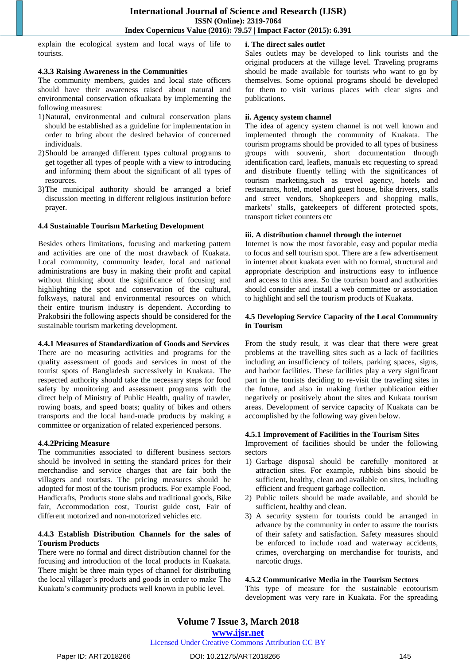explain the ecological system and local ways of life to tourists.

#### **4.3.3 Raising Awareness in the Communities**

The community members, guides and local state officers should have their awareness raised about natural and environmental conservation ofkuakata by implementing the following measures:

- 1)Natural, environmental and cultural conservation plans should be established as a guideline for implementation in order to bring about the desired behavior of concerned individuals.
- 2)Should be arranged different types cultural programs to get together all types of people with a view to introducing and informing them about the significant of all types of resources.
- 3)The municipal authority should be arranged a brief discussion meeting in different religious institution before prayer.

#### **4.4 Sustainable Tourism Marketing Development**

Besides others limitations, focusing and marketing pattern and activities are one of the most drawback of Kuakata. Local community, community leader, local and national administrations are busy in making their profit and capital without thinking about the significance of focusing and highlighting the spot and conservation of the cultural, folkways, natural and environmental resources on which their entire tourism industry is dependent. According to Prakobsiri the following aspects should be considered for the sustainable tourism marketing development.

#### **4.4.1 Measures of Standardization of Goods and Services**

There are no measuring activities and programs for the quality assessment of goods and services in most of the tourist spots of Bangladesh successively in Kuakata. The respected authority should take the necessary steps for food safety by monitoring and assessment programs with the direct help of Ministry of Public Health, quality of trawler, rowing boats, and speed boats; quality of bikes and others transports and the local hand-made products by making a committee or organization of related experienced persons.

#### **4.4.2Pricing Measure**

The communities associated to different business sectors should be involved in setting the standard prices for their merchandise and service charges that are fair both the villagers and tourists. The pricing measures should be adopted for most of the tourism products. For example Food, Handicrafts, Products stone slabs and traditional goods, Bike fair, Accommodation cost, Tourist guide cost, Fair of different motorized and non-motorized vehicles etc.

#### **4.4.3 Establish Distribution Channels for the sales of Tourism Products**

There were no formal and direct distribution channel for the focusing and introduction of the local products in Kuakata. There might be three main types of channel for distributing the local villager"s products and goods in order to make The Kuakata"s community products well known in public level.

#### **i. The direct sales outlet**

Sales outlets may be developed to link tourists and the original producers at the village level. Traveling programs should be made available for tourists who want to go by themselves. Some optional programs should be developed for them to visit various places with clear signs and publications.

#### **ii. Agency system channel**

The idea of agency system channel is not well known and implemented through the community of Kuakata. The tourism programs should be provided to all types of business groups with souvenir, short documentation through identification card, leaflets, manuals etc requesting to spread and distribute fluently telling with the significances of tourism marketing,such as travel agency, hotels and restaurants, hotel, motel and guest house, bike drivers, stalls and street vendors, Shopkeepers and shopping malls, markets' stalls, gatekeepers of different protected spots, transport ticket counters etc

#### **iii. A distribution channel through the internet**

Internet is now the most favorable, easy and popular media to focus and sell tourism spot. There are a few advertisement in internet about kuakata even with no formal, structural and appropriate description and instructions easy to influence and access to this area. So the tourism board and authorities should consider and install a web committee or association to highlight and sell the tourism products of Kuakata.

#### **4.5 Developing Service Capacity of the Local Community in Tourism**

From the study result, it was clear that there were great problems at the travelling sites such as a lack of facilities including an insufficiency of toilets, parking spaces, signs, and harbor facilities. These facilities play a very significant part in the tourists deciding to re-visit the traveling sites in the future, and also in making further publication either negatively or positively about the sites and Kukata tourism areas. Development of service capacity of Kuakata can be accomplished by the following way given below.

#### **4.5.1 Improvement of Facilities in the Tourism Sites**

Improvement of facilities should be under the following sectors

- 1) Garbage disposal should be carefully monitored at attraction sites. For example, rubbish bins should be sufficient, healthy, clean and available on sites, including efficient and frequent garbage collection.
- 2) Public toilets should be made available, and should be sufficient, healthy and clean.
- 3) A security system for tourists could be arranged in advance by the community in order to assure the tourists of their safety and satisfaction. Safety measures should be enforced to include road and waterway accidents, crimes, overcharging on merchandise for tourists, and narcotic drugs.

#### **4.5.2 Communicative Media in the Tourism Sectors**

This type of measure for the sustainable ecotourism development was very rare in Kuakata. For the spreading

#### [Licensed Under Creative Commons Attribution CC BY](http://creativecommons.org/licenses/by/4.0/)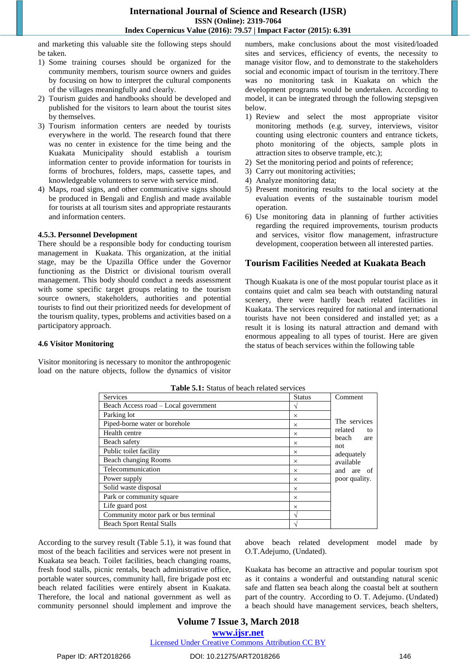and marketing this valuable site the following steps should be taken.

- 1) Some training courses should be organized for the community members, tourism source owners and guides by focusing on how to interpret the cultural components of the villages meaningfully and clearly.
- 2) Tourism guides and handbooks should be developed and published for the visitors to learn about the tourist sites by themselves.
- 3) Tourism information centers are needed by tourists everywhere in the world. The research found that there was no center in existence for the time being and the Kuakata Municipality should establish a tourism information center to provide information for tourists in forms of brochures, folders, maps, cassette tapes, and knowledgeable volunteers to serve with service mind.
- 4) Maps, road signs, and other communicative signs should be produced in Bengali and English and made available for tourists at all tourism sites and appropriate restaurants and information centers.

#### **4.5.3. Personnel Development**

There should be a responsible body for conducting tourism management in Kuakata. This organization, at the initial stage, may be the Upazilla Office under the Governor functioning as the District or divisional tourism overall management. This body should conduct a needs assessment with some specific target groups relating to the tourism source owners, stakeholders, authorities and potential tourists to find out their prioritized needs for development of the tourism quality, types, problems and activities based on a participatory approach.

**4.6 Visitor Monitoring**

Visitor monitoring is necessary to monitor the anthropogenic load on the nature objects, follow the dynamics of visitor numbers, make conclusions about the most visited/loaded sites and services, efficiency of events, the necessity to manage visitor flow, and to demonstrate to the stakeholders social and economic impact of tourism in the territory.There was no monitoring task in Kuakata on which the development programs would be undertaken. According to model, it can be integrated through the following stepsgiven below.

- 1) Review and select the most appropriate visitor monitoring methods (e.g. survey, interviews, visitor counting using electronic counters and entrance tickets, photo monitoring of the objects, sample plots in attraction sites to observe trample, etc.);
- 2) Set the monitoring period and points of reference;
- 3) Carry out monitoring activities;
- 4) Analyze monitoring data;
- 5) Present monitoring results to the local society at the evaluation events of the sustainable tourism model operation.
- 6) Use monitoring data in planning of further activities regarding the required improvements, tourism products and services, visitor flow management, infrastructure development, cooperation between all interested parties.

# **Tourism Facilities Needed at Kuakata Beach**

Though Kuakata is one of the most popular tourist place as it contains quiet and calm sea beach with outstanding natural scenery, there were hardly beach related facilities in Kuakata. The services required for national and international tourists have not been considered and installed yet; as a result it is losing its natural attraction and demand with enormous appealing to all types of tourist. Here are given the status of beach services within the following table

| <b>Services</b>                      | <b>Status</b> | Comment                                                                                                        |
|--------------------------------------|---------------|----------------------------------------------------------------------------------------------------------------|
| Beach Access road – Local government | ٦             |                                                                                                                |
| Parking lot                          | $\times$      | The services<br>related<br>to<br>beach<br>are<br>not<br>adequately<br>available<br>and are of<br>poor quality. |
| Piped-borne water or borehole        | $\times$      |                                                                                                                |
| Health centre                        | $\times$      |                                                                                                                |
| Beach safety                         | $\times$      |                                                                                                                |
| Public toilet facility               | $\times$      |                                                                                                                |
| Beach changing Rooms                 | $\times$      |                                                                                                                |
| Telecommunication                    | $\times$      |                                                                                                                |
| Power supply                         | $\times$      |                                                                                                                |
| Solid waste disposal                 | $\times$      |                                                                                                                |
| Park or community square             | $\times$      |                                                                                                                |
| Life guard post                      | $\times$      |                                                                                                                |
| Community motor park or bus terminal |               |                                                                                                                |
| <b>Beach Sport Rental Stalls</b>     |               |                                                                                                                |

**Table 5.1:** Status of beach related services

According to the survey result (Table 5.1), it was found that most of the beach facilities and services were not present in Kuakata sea beach. Toilet facilities, beach changing roams, fresh food stalls, picnic rentals, beach administrative office, portable water sources, community hall, fire brigade post etc beach related facilities were entirely absent in Kuakata. Therefore, the local and national government as well as community personnel should implement and improve the above beach related development model made by O.T.Adejumo, (Undated).

Kuakata has become an attractive and popular tourism spot as it contains a wonderful and outstanding natural scenic safe and flatten sea beach along the coastal belt at southern part of the country. According to O. T. Adejumo. (Undated) a beach should have management services, beach shelters,

# **Volume 7 Issue 3, March 2018 <www.ijsr.net>**

[Licensed Under Creative Commons Attribution CC BY](http://creativecommons.org/licenses/by/4.0/)